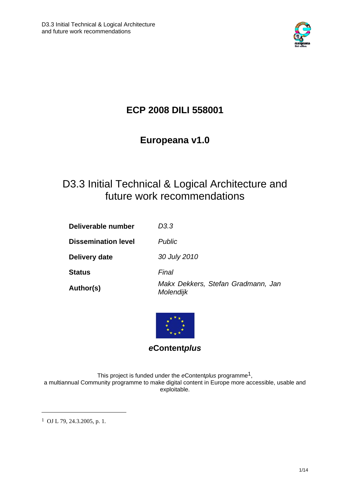

# **ECP 2008 DILI 558001**

# **Europeana v1.0**

# D3.3 Initial Technical & Logical Architecture and future work recommendations

| Deliverable number         | D3.3                                            |
|----------------------------|-------------------------------------------------|
| <b>Dissemination level</b> | <b>Public</b>                                   |
| Delivery date              | 30 July 2010                                    |
| <b>Status</b>              | Final                                           |
| Author(s)                  | Makx Dekkers, Stefan Gradmann, Jan<br>Molendijk |



*e***Content***plus* 

This project is funded under the *e*Content*plus* programme1, a multiannual Community programme to make digital content in Europe more accessible, usable and exploitable.

1 OJ L 79, 24.3.2005, p. 1.

<u>.</u>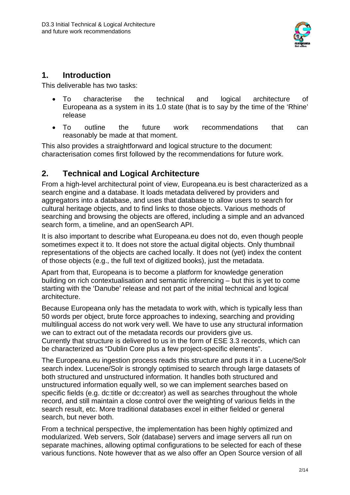

# **1. Introduction**

This deliverable has two tasks:

- To characterise the technical and logical architecture of Europeana as a system in its 1.0 state (that is to say by the time of the 'Rhine' release
- To outline the future work recommendations that can reasonably be made at that moment.

This also provides a straightforward and logical structure to the document: characterisation comes first followed by the recommendations for future work.

# **2. Technical and Logical Architecture**

From a high-level architectural point of view, Europeana.eu is best characterized as a search engine and a database. It loads metadata delivered by providers and aggregators into a database, and uses that database to allow users to search for cultural heritage objects, and to find links to those objects. Various methods of searching and browsing the objects are offered, including a simple and an advanced search form, a timeline, and an openSearch API.

It is also important to describe what Europeana.eu does not do, even though people sometimes expect it to. It does not store the actual digital objects. Only thumbnail representations of the objects are cached locally. It does not (yet) index the content of those objects (e.g., the full text of digitized books), just the metadata.

Apart from that, Europeana is to become a platform for knowledge generation building on rich contextualisation and semantic inferencing – but this is yet to come starting with the 'Danube' release and not part of the initial technical and logical architecture.

Because Europeana only has the metadata to work with, which is typically less than 50 words per object, brute force approaches to indexing, searching and providing multilingual access do not work very well. We have to use any structural information we can to extract out of the metadata records our providers give us. Currently that structure is delivered to us in the form of ESE 3.3 records, which can be characterized as "Dublin Core plus a few project-specific elements".

The Europeana.eu ingestion process reads this structure and puts it in a Lucene/Solr search index. Lucene/Solr is strongly optimised to search through large datasets of both structured and unstructured information. It handles both structured and unstructured information equally well, so we can implement searches based on specific fields (e.g. dc:title or dc:creator) as well as searches throughout the whole record, and still maintain a close control over the weighting of various fields in the search result, etc. More traditional databases excel in either fielded or general search, but never both.

From a technical perspective, the implementation has been highly optimized and modularized. Web servers, Solr (database) servers and image servers all run on separate machines, allowing optimal configurations to be selected for each of these various functions. Note however that as we also offer an Open Source version of all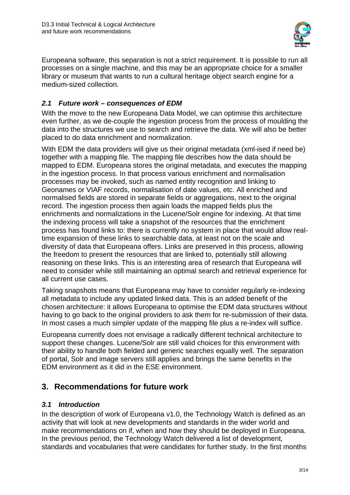

Europeana software, this separation is not a strict requirement. It is possible to run all processes on a single machine, and this may be an appropriate choice for a smaller library or museum that wants to run a cultural heritage object search engine for a medium-sized collection.

## *2.1 Future work – consequences of EDM*

With the move to the new Europeana Data Model, we can optimise this architecture even further, as we de-couple the ingestion process from the process of moulding the data into the structures we use to search and retrieve the data. We will also be better placed to do data enrichment and normalization.

With EDM the data providers will give us their original metadata (xml-ised if need be) together with a mapping file. The mapping file describes how the data should be mapped to EDM. Europeana stores the original metadata, and executes the mapping in the ingestion process. In that process various enrichment and normalisation processes may be invoked, such as named entity recognition and linking to Geonames or VIAF records, normalisation of date values, etc. All enriched and normalised fields are stored in separate fields or aggregations, next to the original record. The ingestion process then again loads the mapped fields plus the enrichments and normalizations in the Lucene/Solr engine for indexing. At that time the indexing process will take a snapshot of the resources that the enrichment process has found links to: there is currently no system in place that would allow realtime expansion of these links to searchable data, at least not on the scale and diversity of data that Europeana offers. Links are preserved in this process, allowing the freedom to present the resources that are linked to, potentially still allowing reasoning on these links. This is an interesting area of research that Europeana will need to consider while still maintaining an optimal search and retrieval experience for all current use cases.

Taking snapshots means that Europeana may have to consider regularly re-indexing all metadata to include any updated linked data. This is an added benefit of the chosen architecture: it allows Europeana to optimise the EDM data structures without having to go back to the original providers to ask them for re-submission of their data. In most cases a much simpler update of the mapping file plus a re-index will suffice.

Europeana currently does not envisage a radically different technical architecture to support these changes. Lucene/Solr are still valid choices for this environment with their ability to handle both fielded and generic searches equally well. The separation of portal, Solr and image servers still applies and brings the same benefits in the EDM environment as it did in the ESE environment.

# **3. Recommendations for future work**

### *3.1 Introduction*

In the description of work of Europeana v1.0, the Technology Watch is defined as an activity that will look at new developments and standards in the wider world and make recommendations on if, when and how they should be deployed in Europeana. In the previous period, the Technology Watch delivered a list of development, standards and vocabularies that were candidates for further study. In the first months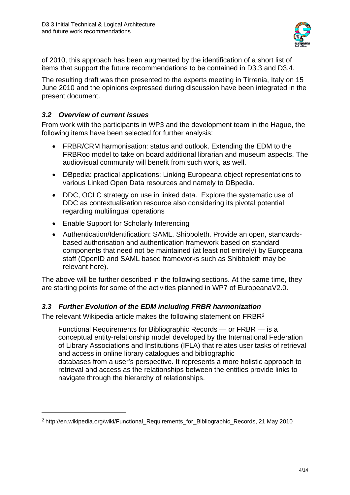

of 2010, this approach has been augmented by the identification of a short list of items that support the future recommendations to be contained in D3.3 and D3.4.

The resulting draft was then presented to the experts meeting in Tirrenia, Italy on 15 June 2010 and the opinions expressed during discussion have been integrated in the present document.

## *3.2 Overview of current issues*

1

From work with the participants in WP3 and the development team in the Hague, the following items have been selected for further analysis:

- FRBR/CRM harmonisation: status and outlook. Extending the EDM to the FRBRoo model to take on board additional librarian and museum aspects. The audiovisual community will benefit from such work, as well.
- DBpedia: practical applications: Linking Europeana object representations to various Linked Open Data resources and namely to DBpedia.
- DDC, OCLC strategy on use in linked data. Explore the systematic use of DDC as contextualisation resource also considering its pivotal potential regarding multilingual operations
- Enable Support for Scholarly Inferencing
- Authentication/Identification: SAML, Shibboleth. Provide an open, standardsbased authorisation and authentication framework based on standard components that need not be maintained (at least not entirely) by Europeana staff (OpenID and SAML based frameworks such as Shibboleth may be relevant here).

The above will be further described in the following sections. At the same time, they are starting points for some of the activities planned in WP7 of EuropeanaV2.0.

# *3.3 Further Evolution of the EDM including FRBR harmonization*

The relevant Wikipedia article makes the following statement on FRBR2

Functional Requirements for Bibliographic Records — or FRBR — is a conceptual entity-relationship model developed by the International Federation of Library Associations and Institutions (IFLA) that relates user tasks of retrieval and access in online library catalogues and bibliographic databases from a user's perspective. It represents a more holistic approach to retrieval and access as the relationships between the entities provide links to navigate through the hierarchy of relationships.

<sup>&</sup>lt;sup>2</sup> http://en.wikipedia.org/wiki/Functional\_Requirements\_for\_Bibliographic\_Records, 21 May 2010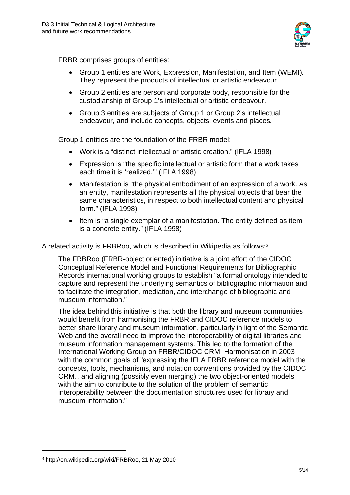

FRBR comprises groups of entities:

- Group 1 entities are Work, Expression, Manifestation, and Item (WEMI). They represent the products of intellectual or artistic endeavour.
- Group 2 entities are person and corporate body, responsible for the custodianship of Group 1's intellectual or artistic endeavour.
- Group 3 entities are subjects of Group 1 or Group 2's intellectual endeavour, and include concepts, objects, events and places.

Group 1 entities are the foundation of the FRBR model:

- Work is a "distinct intellectual or artistic creation." (IFLA 1998)
- Expression is "the specific intellectual or artistic form that a work takes each time it is 'realized.'" (IFLA 1998)
- Manifestation is "the physical embodiment of an expression of a work. As an entity, manifestation represents all the physical objects that bear the same characteristics, in respect to both intellectual content and physical form." (IFLA 1998)
- Item is "a single exemplar of a manifestation. The entity defined as item is a concrete entity." (IFLA 1998)

A related activity is FRBRoo, which is described in Wikipedia as follows:3

The FRBRoo (FRBR-object oriented) initiative is a joint effort of the CIDOC Conceptual Reference Model and Functional Requirements for Bibliographic Records international working groups to establish "a formal ontology intended to capture and represent the underlying semantics of bibliographic information and to facilitate the integration, mediation, and interchange of bibliographic and museum information."

The idea behind this initiative is that both the library and museum communities would benefit from harmonising the FRBR and CIDOC reference models to better share library and museum information, particularly in light of the Semantic Web and the overall need to improve the interoperability of digital libraries and museum information management systems. This led to the formation of the International Working Group on FRBR/CIDOC CRM Harmonisation in 2003 with the common goals of "expressing the IFLA FRBR reference model with the concepts, tools, mechanisms, and notation conventions provided by the CIDOC CRM…and aligning (possibly even merging) the two object-oriented models with the aim to contribute to the solution of the problem of semantic interoperability between the documentation structures used for library and museum information."

<u>.</u>

<sup>3</sup> http://en.wikipedia.org/wiki/FRBRoo, 21 May 2010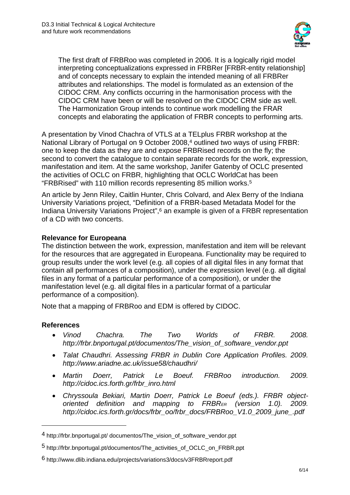

The first draft of FRBRoo was completed in 2006. It is a logically rigid model interpreting conceptualizations expressed in FRBRer [FRBR-entity relationship] and of concepts necessary to explain the intended meaning of all FRBRer attributes and relationships. The model is formulated as an extension of the CIDOC CRM. Any conflicts occurring in the harmonisation process with the CIDOC CRM have been or will be resolved on the CIDOC CRM side as well. The Harmonization Group intends to continue work modelling the FRAR concepts and elaborating the application of FRBR concepts to performing arts.

A presentation by Vinod Chachra of VTLS at a TELplus FRBR workshop at the National Library of Portugal on 9 October 2008,<sup>4</sup> outlined two ways of using FRBR: one to keep the data as they are and expose FRBRised records on the fly; the second to convert the catalogue to contain separate records for the work, expression, manifestation and item. At the same workshop, Janifer Gatenby of OCLC presented the activities of OCLC on FRBR, highlighting that OCLC WorldCat has been "FRBRised" with 110 million records representing 85 million works.5

An article by Jenn Riley, Caitlin Hunter, Chris Colvard, and Alex Berry of the Indiana University Variations project, "Definition of a FRBR-based Metadata Model for the Indiana University Variations Project",6 an example is given of a FRBR representation of a CD with two concerts.

#### **Relevance for Europeana**

The distinction between the work, expression, manifestation and item will be relevant for the resources that are aggregated in Europeana. Functionality may be required to group results under the work level (e.g. all copies of all digital files in any format that contain all performances of a composition), under the expression level (e.g. all digital files in any format of a particular performance of a composition), or under the manifestation level (e.g. all digital files in a particular format of a particular performance of a composition).

Note that a mapping of FRBRoo and EDM is offered by CIDOC.

### **References**

1

- *Vinod Chachra. The Two Worlds of FRBR. 2008. http://frbr.bnportugal.pt/documentos/The\_vision\_of\_software\_vendor.ppt*
- *Talat Chaudhri. Assessing FRBR in Dublin Core Application Profiles. 2009. http://www.ariadne.ac.uk/issue58/chaudhri/*
- *Martin Doerr, Patrick Le Boeuf. FRBRoo introduction. 2009. http://cidoc.ics.forth.gr/frbr\_inro.html*
- *Chryssoula Bekiari, Martin Doerr, Patrick Le Boeuf (eds.). FRBR objectoriented definition and mapping to FRBRER (version 1.0). 2009. http://cidoc.ics.forth.gr/docs/frbr\_oo/frbr\_docs/FRBRoo\_V1.0\_2009\_june\_.pdf*

<sup>4</sup> http://frbr.bnportugal.pt/ documentos/The\_vision\_of\_software\_vendor.ppt

<sup>5</sup> http://frbr.bnportugal.pt/documentos/The\_activities\_of\_OCLC\_on\_FRBR.ppt

<sup>6</sup> http://www.dlib.indiana.edu/projects/variations3/docs/v3FRBRreport.pdf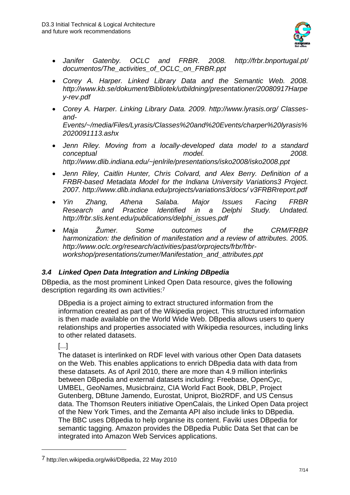

- *Janifer Gatenby. OCLC and FRBR. 2008. http://frbr.bnportugal.pt/ documentos/The\_activities\_of\_OCLC\_on\_FRBR.ppt*
- *Corey A. Harper. Linked Library Data and the Semantic Web. 2008. http://www.kb.se/dokument/Bibliotek/utbildning/presentationer/20080917Harpe y-rev.pdf*
- *Corey A. Harper. Linking Library Data. 2009. http://www.lyrasis.org/ Classesand-Events/~/media/Files/Lyrasis/Classes%20and%20Events/charper%20lyrasis% 2020091113.ashx*
- *Jenn Riley. Moving from a locally-developed data model to a standard conceptual model. 2008. http://www.dlib.indiana.edu/~jenlrile/presentations/isko2008/isko2008.ppt*
- *Jenn Riley, Caitlin Hunter, Chris Colvard, and Alex Berry. Definition of a FRBR-based Metadata Model for the Indiana University Variations3 Project. 2007. http://www.dlib.indiana.edu/projects/variations3/docs/ v3FRBRreport.pdf*
- *Yin Zhang, Athena Salaba. Major Issues Facing FRBR Research and Practice Identified in a Delphi Study. Undated. http://frbr.slis.kent.edu/publications/delphi\_issues.pdf*
- *Maja Žumer. Some outcomes of the CRM/FRBR harmonization: the definition of manifestation and a review of attributes. 2005. http://www.oclc.org/research/activities/past/orprojects/frbr/frbrworkshop/presentations/zumer/Manifestation\_and\_attributes.ppt*

# *3.4 Linked Open Data Integration and Linking DBpedia*

DBpedia, as the most prominent Linked Open Data resource, gives the following description regarding its own activities:7

DBpedia is a project aiming to extract structured information from the information created as part of the Wikipedia project. This structured information is then made available on the World Wide Web. DBpedia allows users to query relationships and properties associated with Wikipedia resources, including links to other related datasets.

[...]

<u>.</u>

The dataset is interlinked on RDF level with various other Open Data datasets on the Web. This enables applications to enrich DBpedia data with data from these datasets. As of April 2010, there are more than 4.9 million interlinks between DBpedia and external datasets including: Freebase, OpenCyc, UMBEL, GeoNames, Musicbrainz, CIA World Fact Book, DBLP, Project Gutenberg, DBtune Jamendo, Eurostat, Uniprot, Bio2RDF, and US Census data. The Thomson Reuters initiative OpenCalais, the Linked Open Data project of the New York Times, and the Zemanta API also include links to DBpedia. The BBC uses DBpedia to help organise its content. Faviki uses DBpedia for semantic tagging. Amazon provides the DBpedia Public Data Set that can be integrated into Amazon Web Services applications.

<sup>7</sup> http://en.wikipedia.org/wiki/DBpedia, 22 May 2010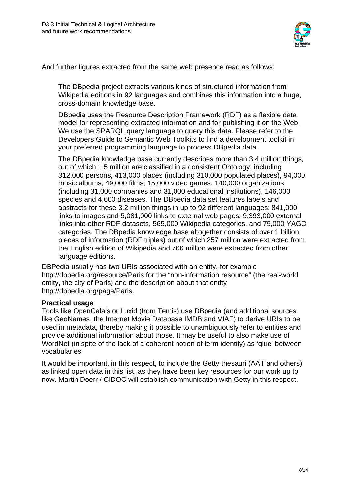

And further figures extracted from the same web presence read as follows:

The DBpedia project extracts various kinds of structured information from Wikipedia editions in 92 languages and combines this information into a huge. cross-domain knowledge base.

DBpedia uses the Resource Description Framework (RDF) as a flexible data model for representing extracted information and for publishing it on the Web. We use the SPARQL query language to query this data. Please refer to the Developers Guide to Semantic Web Toolkits to find a development toolkit in your preferred programming language to process DBpedia data.

The DBpedia knowledge base currently describes more than 3.4 million things, out of which 1.5 million are classified in a consistent Ontology, including 312,000 persons, 413,000 places (including 310,000 populated places), 94,000 music albums, 49,000 films, 15,000 video games, 140,000 organizations (including 31,000 companies and 31,000 educational institutions), 146,000 species and 4,600 diseases. The DBpedia data set features labels and abstracts for these 3.2 million things in up to 92 different languages; 841,000 links to images and 5,081,000 links to external web pages; 9,393,000 external links into other RDF datasets, 565,000 Wikipedia categories, and 75,000 YAGO categories. The DBpedia knowledge base altogether consists of over 1 billion pieces of information (RDF triples) out of which 257 million were extracted from the English edition of Wikipedia and 766 million were extracted from other language editions.

DBPedia usually has two URIs associated with an entity, for example http://dbpedia.org/resource/Paris for the "non-information resource" (the real-world entity, the city of Paris) and the description about that entity http://dbpedia.org/page/Paris.

#### **Practical usage**

Tools like OpenCalais or Luxid (from Temis) use DBpedia (and additional sources like GeoNames, the Internet Movie Database IMDB and VIAF) to derive URIs to be used in metadata, thereby making it possible to unambiguously refer to entities and provide additional information about those. It may be useful to also make use of WordNet (in spite of the lack of a coherent notion of term identity) as 'glue' between vocabularies.

It would be important, in this respect, to include the Getty thesauri (AAT and others) as linked open data in this list, as they have been key resources for our work up to now. Martin Doerr / CIDOC will establish communication with Getty in this respect.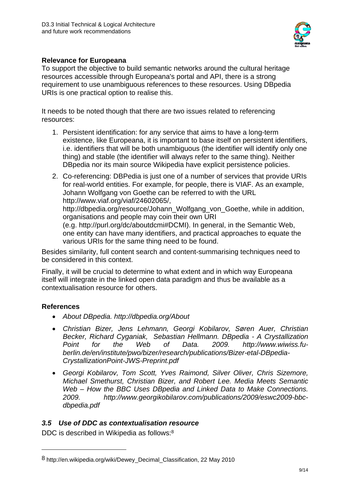

### **Relevance for Europeana**

To support the objective to build semantic networks around the cultural heritage resources accessible through Europeana's portal and API, there is a strong requirement to use unambiguous references to these resources. Using DBpedia URIs is one practical option to realise this.

It needs to be noted though that there are two issues related to referencing resources:

- 1. Persistent identification: for any service that aims to have a long-term existence, like Europeana, it is important to base itself on persistent identifiers, i.e. identifiers that will be both unambiguous (the identifier will identify only one thing) and stable (the identifier will always refer to the same thing). Neither DBpedia nor its main source Wikipedia have explicit persistence policies.
- 2. Co-referencing: DBPedia is just one of a number of services that provide URIs for real-world entities. For example, for people, there is VIAF. As an example, Johann Wolfgang von Goethe can be referred to with the URL http://www.viaf.org/viaf/24602065/,

http://dbpedia.org/resource/Johann\_Wolfgang\_von\_Goethe, while in addition, organisations and people may coin their own URI

(e.g. http://purl.org/dc/aboutdcmi#DCMI). In general, in the Semantic Web, one entity can have many identifiers, and practical approaches to equate the various URIs for the same thing need to be found.

Besides similarity, full content search and content-summarising techniques need to be considered in this context.

Finally, it will be crucial to determine to what extent and in which way Europeana itself will integrate in the linked open data paradigm and thus be available as a contextualisation resource for others.

# **References**

<u>.</u>

- *About DBpedia. http://dbpedia.org/About*
- *Christian Bizer, Jens Lehmann, Georgi Kobilarov, Søren Auer, Christian Becker, Richard Cyganiak, Sebastian Hellmann. DBpedia - A Crystallization Point for the Web of Data. 2009. http://www.wiwiss.fuberlin.de/en/institute/pwo/bizer/research/publications/Bizer-etal-DBpedia-CrystallizationPoint-JWS-Preprint.pdf*
- *Georgi Kobilarov, Tom Scott, Yves Raimond, Silver Oliver, Chris Sizemore, Michael Smethurst, Christian Bizer, and Robert Lee. Media Meets Semantic Web – How the BBC Uses DBpedia and Linked Data to Make Connections. 2009. http://www.georgikobilarov.com/publications/2009/eswc2009-bbcdbpedia.pdf*

# *3.5 Use of DDC as contextualisation resource*

DDC is described in Wikipedia as follows:8

<sup>8</sup> http://en.wikipedia.org/wiki/Dewey\_Decimal\_Classification, 22 May 2010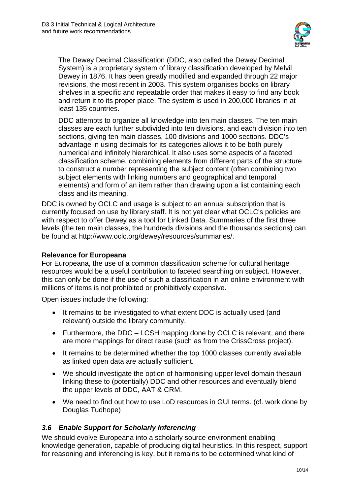

The Dewey Decimal Classification (DDC, also called the Dewey Decimal System) is a proprietary system of library classification developed by Melvil Dewey in 1876. It has been greatly modified and expanded through 22 major revisions, the most recent in 2003. This system organises books on library shelves in a specific and repeatable order that makes it easy to find any book and return it to its proper place. The system is used in 200,000 libraries in at least 135 countries.

DDC attempts to organize all knowledge into ten main classes. The ten main classes are each further subdivided into ten divisions, and each division into ten sections, giving ten main classes, 100 divisions and 1000 sections. DDC's advantage in using decimals for its categories allows it to be both purely numerical and infinitely hierarchical. It also uses some aspects of a faceted classification scheme, combining elements from different parts of the structure to construct a number representing the subject content (often combining two subject elements with linking numbers and geographical and temporal elements) and form of an item rather than drawing upon a list containing each class and its meaning.

DDC is owned by OCLC and usage is subject to an annual subscription that is currently focused on use by library staff. It is not yet clear what OCLC's policies are with respect to offer Dewey as a tool for Linked Data. Summaries of the first three levels (the ten main classes, the hundreds divisions and the thousands sections) can be found at http://www.oclc.org/dewey/resources/summaries/.

#### **Relevance for Europeana**

For Europeana, the use of a common classification scheme for cultural heritage resources would be a useful contribution to faceted searching on subject. However, this can only be done if the use of such a classification in an online environment with millions of items is not prohibited or prohibitively expensive.

Open issues include the following:

- It remains to be investigated to what extent DDC is actually used (and relevant) outside the library community.
- Furthermore, the DDC LCSH mapping done by OCLC is relevant, and there are more mappings for direct reuse (such as from the CrissCross project).
- It remains to be determined whether the top 1000 classes currently available as linked open data are actually sufficient.
- We should investigate the option of harmonising upper level domain thesauri linking these to (potentially) DDC and other resources and eventually blend the upper levels of DDC, AAT & CRM.
- We need to find out how to use LoD resources in GUI terms. (cf. work done by Douglas Tudhope)

### *3.6 Enable Support for Scholarly Inferencing*

We should evolve Europeana into a scholarly source environment enabling knowledge generation, capable of producing digital heuristics. In this respect, support for reasoning and inferencing is key, but it remains to be determined what kind of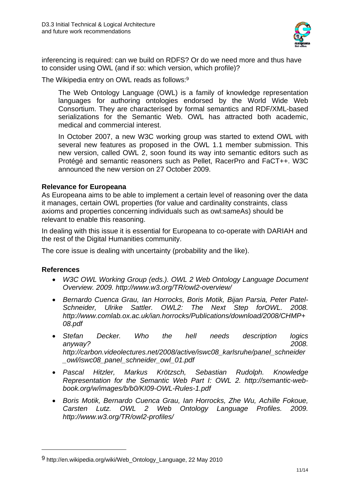

inferencing is required: can we build on RDFS? Or do we need more and thus have to consider using OWL (and if so: which version, which profile)?

The Wikipedia entry on OWL reads as follows:9

The Web Ontology Language (OWL) is a family of knowledge representation languages for authoring ontologies endorsed by the World Wide Web Consortium. They are characterised by formal semantics and RDF/XML-based serializations for the Semantic Web. OWL has attracted both academic, medical and commercial interest.

In October 2007, a new W3C working group was started to extend OWL with several new features as proposed in the OWL 1.1 member submission. This new version, called OWL 2, soon found its way into semantic editors such as Protégé and semantic reasoners such as Pellet, RacerPro and FaCT++. W3C announced the new version on 27 October 2009.

#### **Relevance for Europeana**

As Europeana aims to be able to implement a certain level of reasoning over the data it manages, certain OWL properties (for value and cardinality constraints, class axioms and properties concerning individuals such as owl:sameAs) should be relevant to enable this reasoning.

In dealing with this issue it is essential for Europeana to co-operate with DARIAH and the rest of the Digital Humanities community.

The core issue is dealing with uncertainty (probability and the like).

#### **References**

<u>.</u>

- *W3C OWL Working Group (eds.). OWL 2 Web Ontology Language Document Overview. 2009. http://www.w3.org/TR/owl2-overview/*
- *Bernardo Cuenca Grau, Ian Horrocks, Boris Motik, Bijan Parsia, Peter Patel-Schneider, Ulrike Sattler. OWL2: The Next Step forOWL. 2008. http://www.comlab.ox.ac.uk/ian.horrocks/Publications/download/2008/CHMP+ 08.pdf*
- *Stefan Decker. Who the hell needs description logics anyway? 2008. http://carbon.videolectures.net/2008/active/iswc08\_karlsruhe/panel\_schneider \_owl/iswc08\_panel\_schneider\_owl\_01.pdf*
- *Pascal Hitzler, Markus Krötzsch, Sebastian Rudolph. Knowledge Representation for the Semantic Web Part I: OWL 2. http://semantic-webbook.org/w/images/b/b0/KI09-OWL-Rules-1.pdf*
- *Boris Motik, Bernardo Cuenca Grau, Ian Horrocks, Zhe Wu, Achille Fokoue, Carsten Lutz. OWL 2 Web Ontology Language Profiles. 2009. http://www.w3.org/TR/owl2-profiles/*

<sup>9</sup> http://en.wikipedia.org/wiki/Web\_Ontology\_Language, 22 May 2010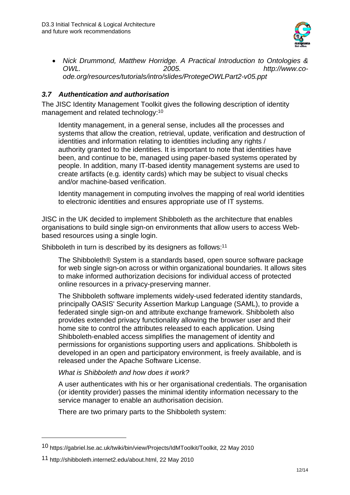

 *Nick Drummond, Matthew Horridge. A Practical Introduction to Ontologies & OWL. 2005. http://www.coode.org/resources/tutorials/intro/slides/ProtegeOWLPart2-v05.ppt* 

### *3.7 Authentication and authorisation*

The JISC Identity Management Toolkit gives the following description of identity management and related technology:10

Identity management, in a general sense, includes all the processes and systems that allow the creation, retrieval, update, verification and destruction of identities and information relating to identities including any rights / authority granted to the identities. It is important to note that identities have been, and continue to be, managed using paper-based systems operated by people. In addition, many IT-based identity management systems are used to create artifacts (e.g. identity cards) which may be subject to visual checks and/or machine-based verification.

Identity management in computing involves the mapping of real world identities to electronic identities and ensures appropriate use of IT systems.

JISC in the UK decided to implement Shibboleth as the architecture that enables organisations to build single sign-on environments that allow users to access Webbased resources using a single login.

Shibboleth in turn is described by its designers as follows:<sup>11</sup>

The Shibboleth® System is a standards based, open source software package for web single sign-on across or within organizational boundaries. It allows sites to make informed authorization decisions for individual access of protected online resources in a privacy-preserving manner.

The Shibboleth software implements widely-used federated identity standards, principally OASIS' Security Assertion Markup Language (SAML), to provide a federated single sign-on and attribute exchange framework. Shibboleth also provides extended privacy functionality allowing the browser user and their home site to control the attributes released to each application. Using Shibboleth-enabled access simplifies the management of identity and permissions for organistions supporting users and applications. Shibboleth is developed in an open and participatory environment, is freely available, and is released under the Apache Software License.

#### *What is Shibboleth and how does it work?*

A user authenticates with his or her organisational credentials. The organisation (or identity provider) passes the minimal identity information necessary to the service manager to enable an authorisation decision.

There are two primary parts to the Shibboleth system:

1

<sup>10</sup> https://gabriel.lse.ac.uk/twiki/bin/view/Projects/IdMToolkit/Toolkit, 22 May 2010

<sup>11</sup> http://shibboleth.internet2.edu/about.html, 22 May 2010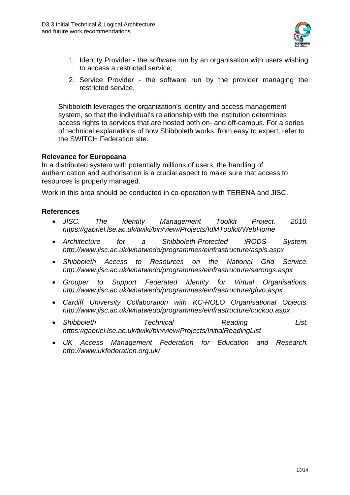

- 1. Identity Provider the software run by an organisation with users wishing to access a restricted service;
- 2. Service Provider the software run by the provider managing the restricted service.

Shibboleth leverages the organization's identity and access management system, so that the individual's relationship with the institution determines access rights to services that are hosted both on- and off-campus. For a series of technical explanations of how Shibboleth works, from easy to expert, refer to the SWITCH Federation site.

#### **Relevance for Europeana**

In a distributed system with potentially millions of users, the handling of authentication and authorisation is a crucial aspect to make sure that access to resources is properly managed.

Work in this area should be conducted in co-operation with TERENA and JISC.

#### **References**

- *JISC. The Identity Management Toolkit Project. 2010. https://gabriel.lse.ac.uk/twiki/bin/view/Projects/IdMToolkit/WebHome*
- *Architecture for a Shibboleth-Protected iRODS System. http://www.jisc.ac.uk/whatwedo/programmes/einfrastructure/aspis.aspx*
- *Shibboleth Access to Resources on the National Grid Service. http://www.jisc.ac.uk/whatwedo/programmes/einfrastructure/sarongs.aspx*
- *Grouper to Support Federated Identity for Virtual Organisations. http://www.jisc.ac.uk/whatwedo/programmes/einfrastructure/gfivo.aspx*
- *Cardiff University Collaboration with KC-ROLO Organisational Objects. http://www.jisc.ac.uk/whatwedo/programmes/einfrastructure/cuckoo.aspx*
- *Shibboleth Technical Reading List. https://gabriel.lse.ac.uk/twiki/bin/view/Projects/InitialReadingList*
- *UK Access Management Federation for Education and Research. http://www.ukfederation.org.uk/*